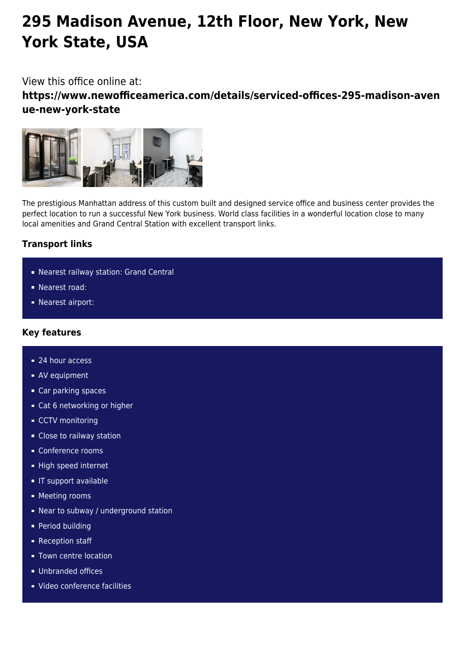# **295 Madison Avenue, 12th Floor, New York, New York State, USA**

## View this office online at:

**https://www.newofficeamerica.com/details/serviced-offices-295-madison-aven ue-new-york-state**



The prestigious Manhattan address of this custom built and designed service office and business center provides the perfect location to run a successful New York business. World class facilities in a wonderful location close to many local amenities and Grand Central Station with excellent transport links.

## **Transport links**

- Nearest railway station: Grand Central
- Nearest road:
- Nearest airport:

#### **Key features**

- 24 hour access
- **AV** equipment
- Car parking spaces
- Cat 6 networking or higher
- CCTV monitoring
- Close to railway station
- Conference rooms
- High speed internet
- **IT support available**
- **Meeting rooms**
- Near to subway / underground station
- **Period building**
- Reception staff
- **Town centre location**
- Unbranded offices
- Video conference facilities